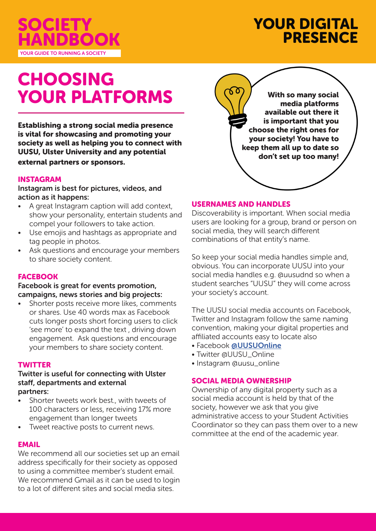

# YOUR DIGITAL **PRESENCE**

# CHOOSING YOUR PLATFORMS

Establishing a strong social media presence is vital for showcasing and promoting your society as well as helping you to connect with UUSU, Ulster University and any potential external partners or sponsors.

#### INSTAGRAM

Instagram is best for pictures, videos, and action as it happens:

- A great Instagram caption will add context, show your personality, entertain students and compel your followers to take action.
- Use emojis and hashtags as appropriate and tag people in photos.
- Ask questions and encourage your members to share society content.

#### **FACEBOOK**

Facebook is great for events promotion, campaigns, news stories and big projects:

Shorter posts receive more likes, comments or shares. Use 40 words max as Facebook cuts longer posts short forcing users to click 'see more' to expand the text , driving down engagement. Ask questions and encourage your members to share society content.

#### **TWITTER**

#### Twitter is useful for connecting with Ulster staff, departments and external partners:

- Shorter tweets work best., with tweets of 100 characters or less, receiving 17% more engagement than longer tweets
- Tweet reactive posts to current news.

## EMAIL

We recommend all our societies set up an email address specifically for their society as opposed to using a committee member's student email. We recommend Gmail as it can be used to login to a lot of different sites and social media sites.

With so many social media platforms available out there it is important that you choose the right ones for your society! You have to keep them all up to date so don't set up too many!

#### USERNAMES AND HANDLES

Discoverability is important. When social media users are looking for a group, brand or person on social media, they will search different combinations of that entity's name.

So keep your social media handles simple and, obvious. You can incorporate UUSU into your social media handles e.g. @uusudnd so when a student searches "UUSU" they will come across your society's account.

The UUSU social media accounts on Facebook, Twitter and Instagram follow the same naming convention, making your digital properties and affiliated accounts easy to locate also

- Facebook **@UUSUOnline**
- Twitter @UUSU\_Online
- Instagram @uusu\_online

#### SOCIAL MEDIA OWNERSHIP

Ownership of any digital property such as a social media account is held by that of the society, however we ask that you give administrative access to your Student Activities Coordinator so they can pass them over to a new committee at the end of the academic year.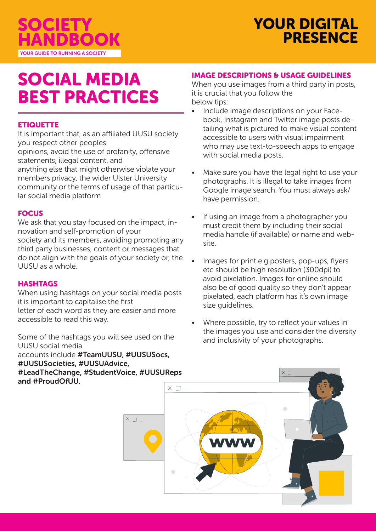

# SOCIAL MEDIA BEST PRACTICES

## **ETIQUETTE**

It is important that, as an affiliated UUSU society you respect other peoples

opinions, avoid the use of profanity, offensive statements, illegal content, and

anything else that might otherwise violate your members privacy, the wider Ulster University community or the terms of usage of that particular social media platform

## **FOCUS**

We ask that you stay focused on the impact, innovation and self-promotion of your society and its members, avoiding promoting any third party businesses, content or messages that do not align with the goals of your society or, the UUSU as a whole.

#### **HASHTAGS**

When using hashtags on your social media posts it is important to capitalise the first letter of each word as they are easier and more accessible to read this way.

Some of the hashtags you will see used on the UUSU social media accounts include #TeamUUSU, #UUSUSocs, #UUSUSocieties, #UUSUAdvice, #LeadTheChange, #StudentVoice, #UUSUReps and #ProudOfUU.

## IMAGE DESCRIPTIONS & USAGE GUIDELINES

When you use images from a third party in posts, it is crucial that you follow the below tips:

- Include image descriptions on your Facebook, Instagram and Twitter image posts detailing what is pictured to make visual content accessible to users with visual impairment who may use text-to-speech apps to engage with social media posts.
- Make sure you have the legal right to use your photographs. It is illegal to take images from Google image search. You must always ask/ have permission.
- If using an image from a photographer you must credit them by including their social media handle (if available) or name and website.
- Images for print e.g posters, pop-ups, flyers etc should be high resolution (300dpi) to avoid pixelation. Images for online should also be of good quality so they don't appear pixelated, each platform has it's own image size guidelines.
- Where possible, try to reflect your values in the images you use and consider the diversity and inclusivity of your photographs.